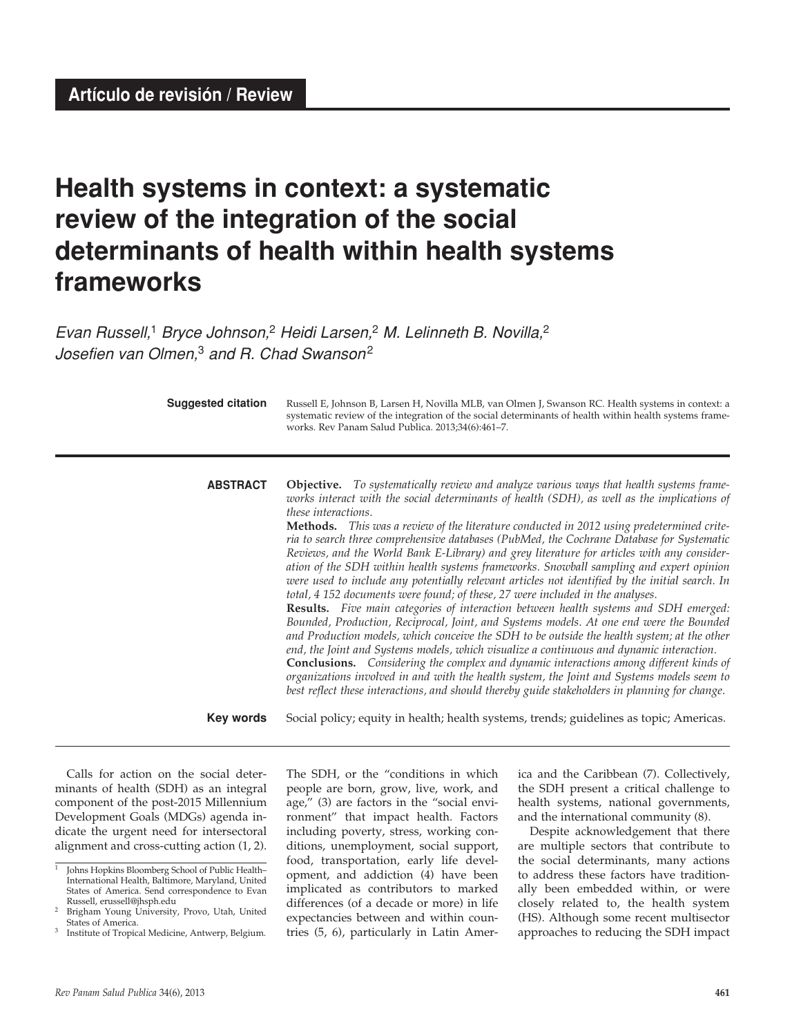# **Health systems in context: a systematic review of the integration of the social determinants of health within health systems frameworks**

*Evan Russell,*1 *Bryce Johnson,*2 *Heidi Larsen,*2 *M. Lelinneth B. Novilla,*<sup>2</sup> *Josefien van Olmen,*3 *and R. Chad Swanson*<sup>2</sup>

| <b>Suggested citation</b> | Russell E, Johnson B, Larsen H, Novilla MLB, van Olmen J, Swanson RC. Health systems in context: a<br>systematic review of the integration of the social determinants of health within health systems frame-<br>works. Rev Panam Salud Publica. 2013;34(6):461-7.                                                                                                                                                                                                                                                                                                                                                                                                                                                                                                                                                                                                                                                                                                                                                                                                                                                                                                                                                                                                                                                                                                                                                                                                           |
|---------------------------|-----------------------------------------------------------------------------------------------------------------------------------------------------------------------------------------------------------------------------------------------------------------------------------------------------------------------------------------------------------------------------------------------------------------------------------------------------------------------------------------------------------------------------------------------------------------------------------------------------------------------------------------------------------------------------------------------------------------------------------------------------------------------------------------------------------------------------------------------------------------------------------------------------------------------------------------------------------------------------------------------------------------------------------------------------------------------------------------------------------------------------------------------------------------------------------------------------------------------------------------------------------------------------------------------------------------------------------------------------------------------------------------------------------------------------------------------------------------------------|
| <b>ABSTRACT</b>           | <b>Objective.</b> To systematically review and analyze various ways that health systems frame-<br>works interact with the social determinants of health (SDH), as well as the implications of<br>these interactions.<br><b>Methods.</b> This was a review of the literature conducted in 2012 using predetermined crite-<br>ria to search three comprehensive databases (PubMed, the Cochrane Database for Systematic<br>Reviews, and the World Bank E-Library) and grey literature for articles with any consider-<br>ation of the SDH within health systems frameworks. Snowball sampling and expert opinion<br>were used to include any potentially relevant articles not identified by the initial search. In<br>total, 4 152 documents were found; of these, 27 were included in the analyses.<br>Results. Five main categories of interaction between health systems and SDH emerged:<br>Bounded, Production, Reciprocal, Joint, and Systems models. At one end were the Bounded<br>and Production models, which conceive the SDH to be outside the health system; at the other<br>end, the Joint and Systems models, which visualize a continuous and dynamic interaction.<br>Conclusions. Considering the complex and dynamic interactions among different kinds of<br>organizations involved in and with the health system, the Joint and Systems models seem to<br>best reflect these interactions, and should thereby guide stakeholders in planning for change. |
| <b>Key words</b>          | Social policy; equity in health; health systems, trends; guidelines as topic; Americas.                                                                                                                                                                                                                                                                                                                                                                                                                                                                                                                                                                                                                                                                                                                                                                                                                                                                                                                                                                                                                                                                                                                                                                                                                                                                                                                                                                                     |

Calls for action on the social determinants of health (SDH) as an integral component of the post-2015 Millennium Development Goals (MDGs) agenda indicate the urgent need for intersectoral alignment and cross-cutting action (1, 2).

The SDH, or the "conditions in which people are born, grow, live, work, and age," (3) are factors in the "social environment" that impact health. Factors including poverty, stress, working conditions, unemployment, social support, food, transportation, early life development, and addiction (4) have been implicated as contributors to marked differences (of a decade or more) in life expectancies between and within countries (5, 6), particularly in Latin Amer-

ica and the Caribbean (7). Collectively, the SDH present a critical challenge to health systems, national governments, and the international community (8).

Despite acknowledgement that there are multiple sectors that contribute to the social determinants, many actions to address these factors have traditionally been embedded within, or were closely related to, the health system (HS). Although some recent multisector approaches to reducing the SDH impact

<sup>1</sup> Johns Hopkins Bloomberg School of Public Health– International Health, Baltimore, Maryland, United States of America. Send correspondence to Evan<br>Russell, erussell@jhsph.edu

Brigham Young University, Provo, Utah, United States of America.

Institute of Tropical Medicine, Antwerp, Belgium.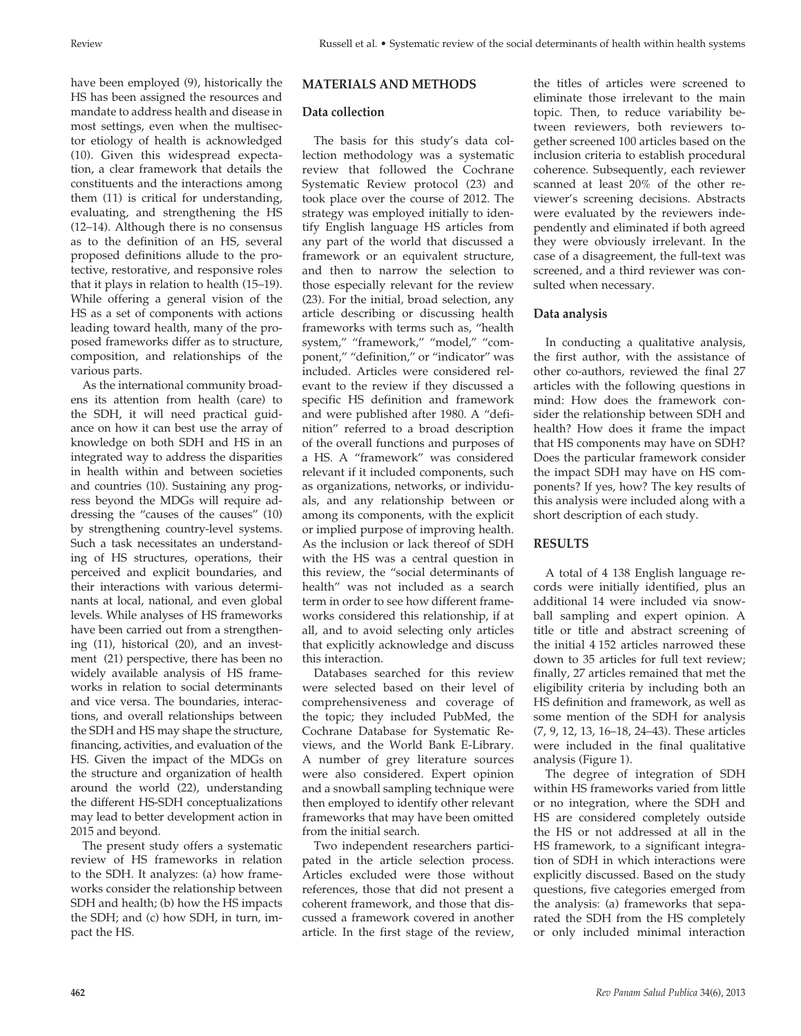have been employed (9), historically the HS has been assigned the resources and mandate to address health and disease in most settings, even when the multisector etiology of health is acknowledged (10). Given this widespread expectation, a clear framework that details the constituents and the interactions among them (11) is critical for understanding, evaluating, and strengthening the HS (12–14). Although there is no consensus as to the definition of an HS, several proposed definitions allude to the protective, restorative, and responsive roles that it plays in relation to health (15–19). While offering a general vision of the HS as a set of components with actions leading toward health, many of the proposed frameworks differ as to structure, composition, and relationships of the various parts.

As the international community broadens its attention from health (care) to the SDH, it will need practical guidance on how it can best use the array of knowledge on both SDH and HS in an integrated way to address the disparities in health within and between societies and countries (10). Sustaining any progress beyond the MDGs will require addressing the "causes of the causes" (10) by strengthening country-level systems. Such a task necessitates an understanding of HS structures, operations, their perceived and explicit boundaries, and their interactions with various determinants at local, national, and even global levels. While analyses of HS frameworks have been carried out from a strengthening (11), historical (20), and an investment (21) perspective, there has been no widely available analysis of HS frameworks in relation to social determinants and vice versa. The boundaries, interactions, and overall relationships between the SDH and HS may shape the structure, financing, activities, and evaluation of the HS. Given the impact of the MDGs on the structure and organization of health around the world (22), understanding the different HS-SDH conceptualizations may lead to better development action in 2015 and beyond.

The present study offers a systematic review of HS frameworks in relation to the SDH. It analyzes: (a) how frameworks consider the relationship between SDH and health; (b) how the HS impacts the SDH; and (c) how SDH, in turn, impact the HS.

# **MATERIALS AND METHODS**

## **Data collection**

The basis for this study's data collection methodology was a systematic review that followed the Cochrane Systematic Review protocol (23) and took place over the course of 2012. The strategy was employed initially to identify English language HS articles from any part of the world that discussed a framework or an equivalent structure, and then to narrow the selection to those especially relevant for the review (23). For the initial, broad selection, any article describing or discussing health frameworks with terms such as, "health system," "framework," "model," "component," "definition," or "indicator" was included. Articles were considered relevant to the review if they discussed a specific HS definition and framework and were published after 1980. A "definition" referred to a broad description of the overall functions and purposes of a HS. A "framework" was considered relevant if it included components, such as organizations, networks, or individuals, and any relationship between or among its components, with the explicit or implied purpose of improving health. As the inclusion or lack thereof of SDH with the HS was a central question in this review, the "social determinants of health" was not included as a search term in order to see how different frameworks considered this relationship, if at all, and to avoid selecting only articles that explicitly acknowledge and discuss this interaction.

Databases searched for this review were selected based on their level of comprehensiveness and coverage of the topic; they included PubMed, the Cochrane Database for Systematic Reviews, and the World Bank E-Library. A number of grey literature sources were also considered. Expert opinion and a snowball sampling technique were then employed to identify other relevant frameworks that may have been omitted from the initial search.

Two independent researchers participated in the article selection process. Articles excluded were those without references, those that did not present a coherent framework, and those that discussed a framework covered in another article. In the first stage of the review,

the titles of articles were screened to eliminate those irrelevant to the main topic. Then, to reduce variability between reviewers, both reviewers together screened 100 articles based on the inclusion criteria to establish procedural coherence. Subsequently, each reviewer scanned at least 20% of the other reviewer's screening decisions. Abstracts were evaluated by the reviewers independently and eliminated if both agreed they were obviously irrelevant. In the case of a disagreement, the full-text was screened, and a third reviewer was consulted when necessary.

## **Data analysis**

In conducting a qualitative analysis, the first author, with the assistance of other co-authors, reviewed the final 27 articles with the following questions in mind: How does the framework consider the relationship between SDH and health? How does it frame the impact that HS components may have on SDH? Does the particular framework consider the impact SDH may have on HS components? If yes, how? The key results of this analysis were included along with a short description of each study.

# **RESULTS**

A total of 4 138 English language records were initially identified, plus an additional 14 were included via snowball sampling and expert opinion. A title or title and abstract screening of the initial 4 152 articles narrowed these down to 35 articles for full text review; finally, 27 articles remained that met the eligibility criteria by including both an HS definition and framework, as well as some mention of the SDH for analysis (7, 9, 12, 13, 16–18, 24–43). These articles were included in the final qualitative analysis (Figure 1).

The degree of integration of SDH within HS frameworks varied from little or no integration, where the SDH and HS are considered completely outside the HS or not addressed at all in the HS framework, to a significant integration of SDH in which interactions were explicitly discussed. Based on the study questions, five categories emerged from the analysis: (a) frameworks that separated the SDH from the HS completely or only included minimal interaction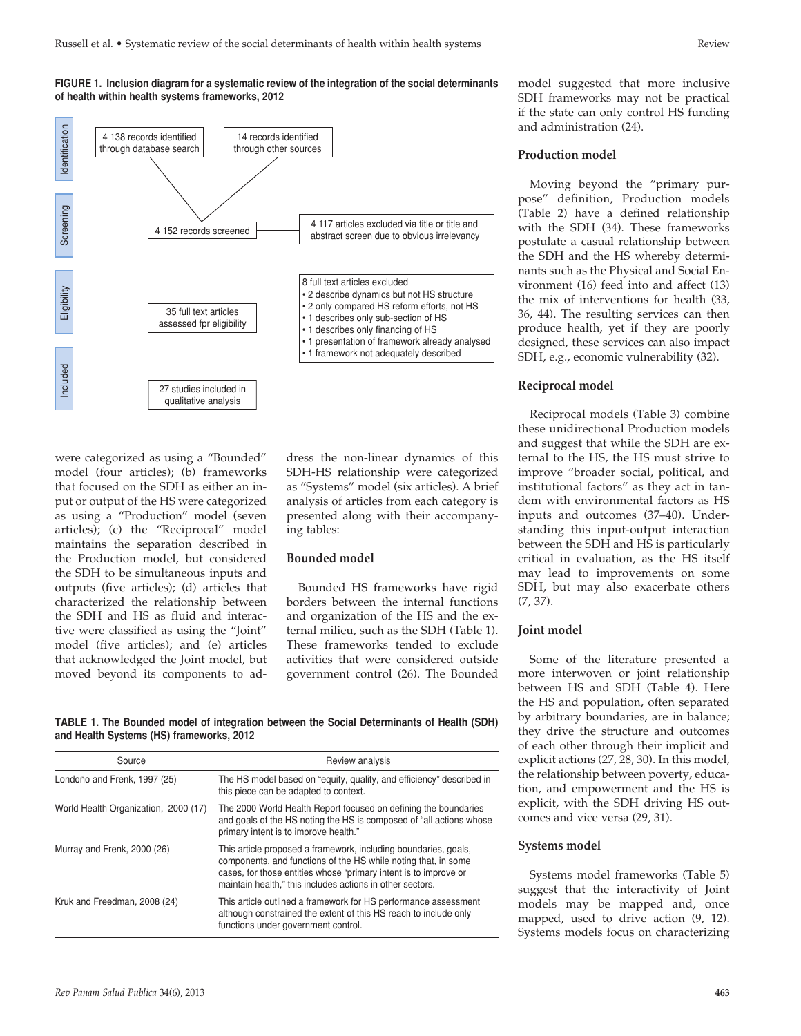#### **FIGURE 1. Inclusion diagram for a systematic review of the integration of the social determinants of health within health systems frameworks, 2012**



were categorized as using a "Bounded" model (four articles); (b) frameworks that focused on the SDH as either an input or output of the HS were categorized as using a "Production" model (seven articles); (c) the "Reciprocal" model maintains the separation described in the Production model, but considered the SDH to be simultaneous inputs and outputs (five articles); (d) articles that characterized the relationship between the SDH and HS as fluid and interactive were classified as using the "Joint" model (five articles); and (e) articles that acknowledged the Joint model, but moved beyond its components to ad-

dress the non-linear dynamics of this SDH-HS relationship were categorized as "Systems" model (six articles). A brief analysis of articles from each category is presented along with their accompanying tables:

## **Bounded model**

Bounded HS frameworks have rigid borders between the internal functions and organization of the HS and the external milieu, such as the SDH (Table 1). These frameworks tended to exclude activities that were considered outside government control (26). The Bounded

**TABLE 1. The Bounded model of integration between the Social Determinants of Health (SDH) and Health Systems (HS) frameworks, 2012**

| Source                               | Review analysis                                                                                                                                                                                                                                                    |
|--------------------------------------|--------------------------------------------------------------------------------------------------------------------------------------------------------------------------------------------------------------------------------------------------------------------|
| Londoño and Frenk, 1997 (25)         | The HS model based on "equity, quality, and efficiency" described in<br>this piece can be adapted to context.                                                                                                                                                      |
| World Health Organization, 2000 (17) | The 2000 World Health Report focused on defining the boundaries<br>and goals of the HS noting the HS is composed of "all actions whose<br>primary intent is to improve health."                                                                                    |
| Murray and Frenk, 2000 (26)          | This article proposed a framework, including boundaries, goals,<br>components, and functions of the HS while noting that, in some<br>cases, for those entities whose "primary intent is to improve or<br>maintain health," this includes actions in other sectors. |
| Kruk and Freedman, 2008 (24)         | This article outlined a framework for HS performance assessment<br>although constrained the extent of this HS reach to include only<br>functions under government control.                                                                                         |

model suggested that more inclusive SDH frameworks may not be practical if the state can only control HS funding and administration (24).

#### **Production model**

Moving beyond the "primary purpose" definition, Production models (Table 2) have a defined relationship with the SDH (34). These frameworks postulate a casual relationship between the SDH and the HS whereby determinants such as the Physical and Social Environment (16) feed into and affect (13) the mix of interventions for health (33, 36, 44). The resulting services can then produce health, yet if they are poorly designed, these services can also impact SDH, e.g., economic vulnerability (32).

#### **Reciprocal model**

Reciprocal models (Table 3) combine these unidirectional Production models and suggest that while the SDH are external to the HS, the HS must strive to improve "broader social, political, and institutional factors" as they act in tandem with environmental factors as HS inputs and outcomes (37–40). Understanding this input-output interaction between the SDH and HS is particularly critical in evaluation, as the HS itself may lead to improvements on some SDH, but may also exacerbate others (7, 37).

#### **Joint model**

Some of the literature presented a more interwoven or joint relationship between HS and SDH (Table 4). Here the HS and population, often separated by arbitrary boundaries, are in balance; they drive the structure and outcomes of each other through their implicit and explicit actions (27, 28, 30). In this model, the relationship between poverty, education, and empowerment and the HS is explicit, with the SDH driving HS outcomes and vice versa (29, 31).

#### **Systems model**

Systems model frameworks (Table 5) suggest that the interactivity of Joint models may be mapped and, once mapped, used to drive action (9, 12). Systems models focus on characterizing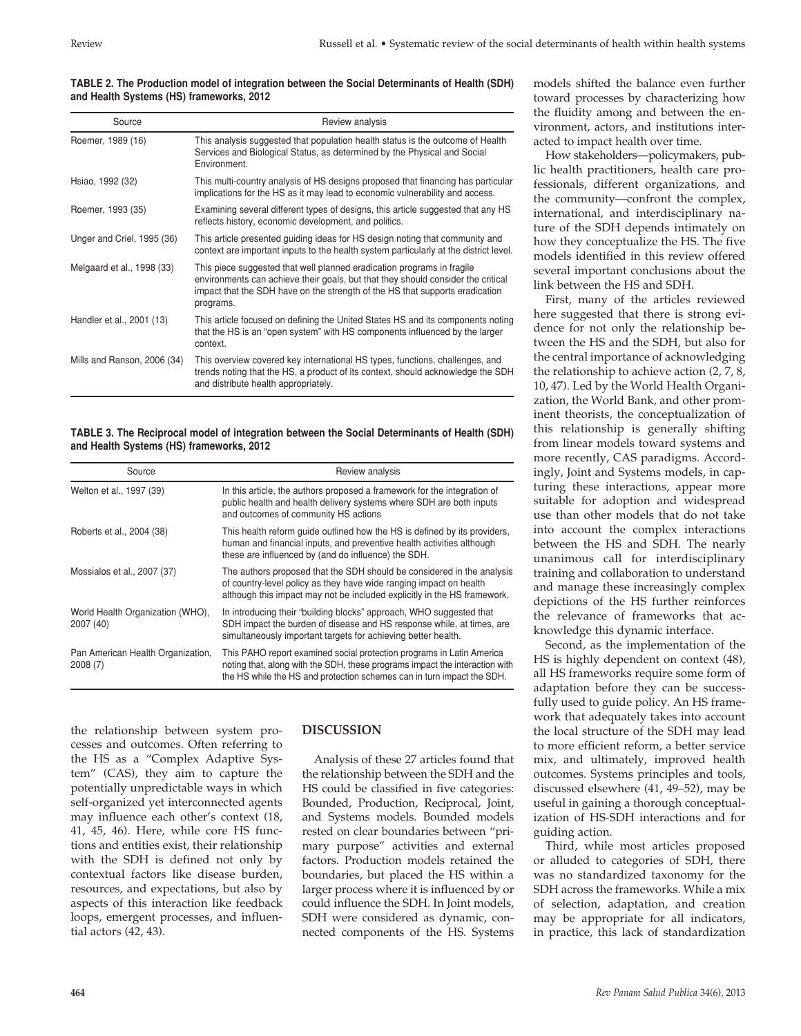#### **TABLE 2. The Production model of integration between the Social Determinants of Health (SDH) and Health Systems (HS) frameworks, 2012**

| Source                      | Review analysis                                                                                                                                                                                                                                         |
|-----------------------------|---------------------------------------------------------------------------------------------------------------------------------------------------------------------------------------------------------------------------------------------------------|
| Roemer, 1989 (16)           | This analysis suggested that population health status is the outcome of Health<br>Services and Biological Status, as determined by the Physical and Social<br>Environment.                                                                              |
| Hsiao, 1992 (32)            | This multi-country analysis of HS designs proposed that financing has particular<br>implications for the HS as it may lead to economic vulnerability and access.                                                                                        |
| Roemer, 1993 (35)           | Examining several different types of designs, this article suggested that any HS<br>reflects history, economic development, and politics.                                                                                                               |
| Unger and Criel, 1995 (36)  | This article presented guiding ideas for HS design noting that community and<br>context are important inputs to the health system particularly at the district level.                                                                                   |
| Melgaard et al., 1998 (33)  | This piece suggested that well planned eradication programs in fragile<br>environments can achieve their goals, but that they should consider the critical<br>impact that the SDH have on the strength of the HS that supports eradication<br>programs. |
| Handler et al., 2001 (13)   | This article focused on defining the United States HS and its components noting<br>that the HS is an "open system" with HS components influenced by the larger<br>context.                                                                              |
| Mills and Ranson, 2006 (34) | This overview covered key international HS types, functions, challenges, and<br>trends noting that the HS, a product of its context, should acknowledge the SDH<br>and distribute health appropriately.                                                 |

**TABLE 3. The Reciprocal model of integration between the Social Determinants of Health (SDH) and Health Systems (HS) frameworks, 2012**

| Source                                        | Review analysis                                                                                                                                                                                                                |
|-----------------------------------------------|--------------------------------------------------------------------------------------------------------------------------------------------------------------------------------------------------------------------------------|
| Welton et al., 1997 (39)                      | In this article, the authors proposed a framework for the integration of<br>public health and health delivery systems where SDH are both inputs<br>and outcomes of community HS actions                                        |
| Roberts et al., 2004 (38)                     | This health reform quide outlined how the HS is defined by its providers,<br>human and financial inputs, and preventive health activities although<br>these are influenced by (and do influence) the SDH.                      |
| Mossialos et al., 2007 (37)                   | The authors proposed that the SDH should be considered in the analysis<br>of country-level policy as they have wide ranging impact on health<br>although this impact may not be included explicitly in the HS framework.       |
| World Health Organization (WHO),<br>2007 (40) | In introducing their "building blocks" approach, WHO suggested that<br>SDH impact the burden of disease and HS response while, at times, are<br>simultaneously important targets for achieving better health.                  |
| Pan American Health Organization,<br>2008(7)  | This PAHO report examined social protection programs in Latin America<br>noting that, along with the SDH, these programs impact the interaction with<br>the HS while the HS and protection schemes can in turn impact the SDH. |

the relationship between system processes and outcomes. Often referring to the HS as a "Complex Adaptive System" (CAS), they aim to capture the potentially unpredictable ways in which self-organized yet interconnected agents may influence each other's context (18, 41, 45, 46). Here, while core HS functions and entities exist, their relationship with the SDH is defined not only by contextual factors like disease burden, resources, and expectations, but also by aspects of this interaction like feedback loops, emergent processes, and influential actors (42, 43).

# **DISCUSSION**

Analysis of these 27 articles found that the relationship between the SDH and the HS could be classified in five categories: Bounded, Production, Reciprocal, Joint, and Systems models. Bounded models rested on clear boundaries between "primary purpose" activities and external factors. Production models retained the boundaries, but placed the HS within a larger process where it is influenced by or could influence the SDH. In Joint models, SDH were considered as dynamic, connected components of the HS. Systems

models shifted the balance even further toward processes by characterizing how the fluidity among and between the environment, actors, and institutions interacted to impact health over time.

How stakeholders—policymakers, public health practitioners, health care professionals, different organizations, and the community—confront the complex, international, and interdisciplinary nature of the SDH depends intimately on how they conceptualize the HS. The five models identified in this review offered several important conclusions about the link between the HS and SDH.

First, many of the articles reviewed here suggested that there is strong evidence for not only the relationship between the HS and the SDH, but also for the central importance of acknowledging the relationship to achieve action (2, 7, 8, 10, 47). Led by the World Health Organization, the World Bank, and other prominent theorists, the conceptualization of this relationship is generally shifting from linear models toward systems and more recently, CAS paradigms. Accordingly, Joint and Systems models, in capturing these interactions, appear more suitable for adoption and widespread use than other models that do not take into account the complex interactions between the HS and SDH. The nearly unanimous call for interdisciplinary training and collaboration to understand and manage these increasingly complex depictions of the HS further reinforces the relevance of frameworks that acknowledge this dynamic interface.

Second, as the implementation of the HS is highly dependent on context (48), all HS frameworks require some form of adaptation before they can be successfully used to guide policy. An HS framework that adequately takes into account the local structure of the SDH may lead to more efficient reform, a better service mix, and ultimately, improved health outcomes. Systems principles and tools, discussed elsewhere (41, 49–52), may be useful in gaining a thorough conceptualization of HS-SDH interactions and for guiding action.

Third, while most articles proposed or alluded to categories of SDH, there was no standardized taxonomy for the SDH across the frameworks. While a mix of selection, adaptation, and creation may be appropriate for all indicators, in practice, this lack of standardization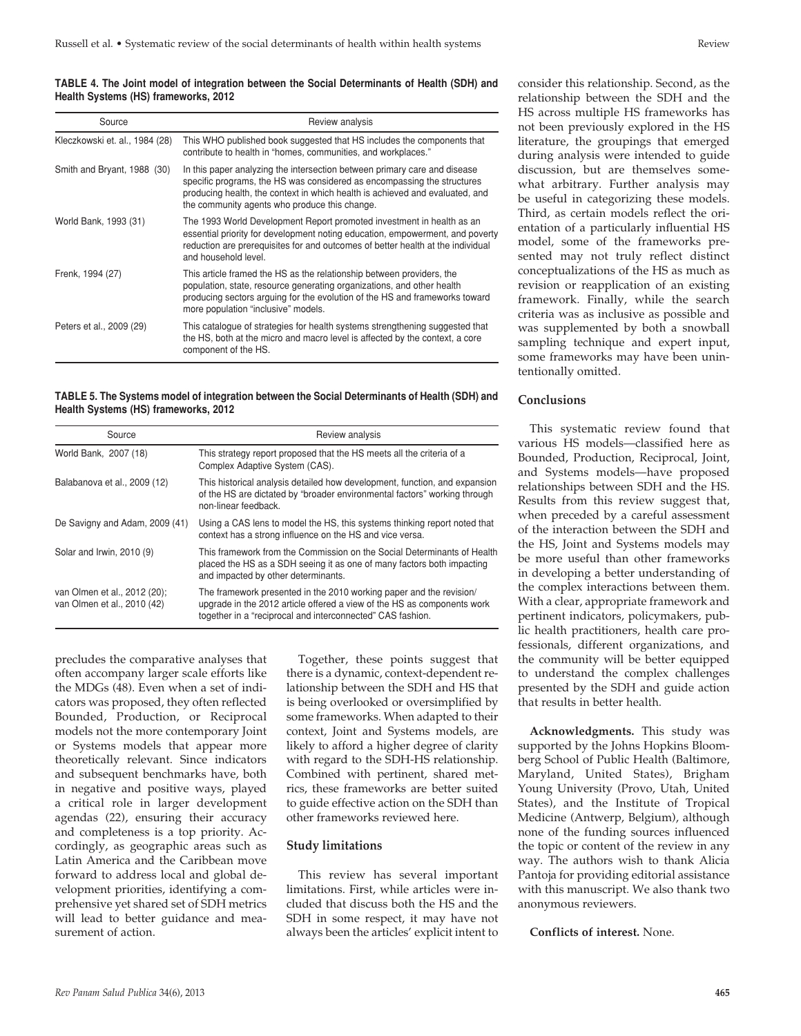#### **TABLE 4. The Joint model of integration between the Social Determinants of Health (SDH) and Health Systems (HS) frameworks, 2012**

| Source                         | Review analysis                                                                                                                                                                                                                                                                       |
|--------------------------------|---------------------------------------------------------------------------------------------------------------------------------------------------------------------------------------------------------------------------------------------------------------------------------------|
| Kleczkowski et. al., 1984 (28) | This WHO published book suggested that HS includes the components that<br>contribute to health in "homes, communities, and workplaces."                                                                                                                                               |
| Smith and Bryant, 1988 (30)    | In this paper analyzing the intersection between primary care and disease<br>specific programs, the HS was considered as encompassing the structures<br>producing health, the context in which health is achieved and evaluated, and<br>the community agents who produce this change. |
| World Bank, 1993 (31)          | The 1993 World Development Report promoted investment in health as an<br>essential priority for development noting education, empowerment, and poverty<br>reduction are prerequisites for and outcomes of better health at the individual<br>and household level.                     |
| Frenk, 1994 (27)               | This article framed the HS as the relationship between providers, the<br>population, state, resource generating organizations, and other health<br>producing sectors arguing for the evolution of the HS and frameworks toward<br>more population "inclusive" models.                 |
| Peters et al., 2009 (29)       | This catalogue of strategies for health systems strengthening suggested that<br>the HS, both at the micro and macro level is affected by the context, a core<br>component of the HS.                                                                                                  |

**TABLE 5. The Systems model of integration between the Social Determinants of Health (SDH) and Health Systems (HS) frameworks, 2012**

| Source                                                      | Review analysis                                                                                                                                                                                              |
|-------------------------------------------------------------|--------------------------------------------------------------------------------------------------------------------------------------------------------------------------------------------------------------|
| World Bank, 2007 (18)                                       | This strategy report proposed that the HS meets all the criteria of a<br>Complex Adaptive System (CAS).                                                                                                      |
| Balabanova et al., 2009 (12)                                | This historical analysis detailed how development, function, and expansion<br>of the HS are dictated by "broader environmental factors" working through<br>non-linear feedback.                              |
| De Savigny and Adam, 2009 (41)                              | Using a CAS lens to model the HS, this systems thinking report noted that<br>context has a strong influence on the HS and vice versa.                                                                        |
| Solar and Irwin, 2010 (9)                                   | This framework from the Commission on the Social Determinants of Health<br>placed the HS as a SDH seeing it as one of many factors both impacting<br>and impacted by other determinants.                     |
| van Olmen et al., 2012 (20);<br>van Olmen et al., 2010 (42) | The framework presented in the 2010 working paper and the revision/<br>upgrade in the 2012 article offered a view of the HS as components work<br>together in a "reciprocal and interconnected" CAS fashion. |

precludes the comparative analyses that often accompany larger scale efforts like the MDGs (48). Even when a set of indicators was proposed, they often reflected Bounded, Production, or Reciprocal models not the more contemporary Joint or Systems models that appear more theoretically relevant. Since indicators and subsequent benchmarks have, both in negative and positive ways, played a critical role in larger development agendas (22), ensuring their accuracy and completeness is a top priority. Accordingly, as geographic areas such as Latin America and the Caribbean move forward to address local and global development priorities, identifying a comprehensive yet shared set of SDH metrics will lead to better guidance and measurement of action.

Together, these points suggest that there is a dynamic, context-dependent relationship between the SDH and HS that is being overlooked or oversimplified by some frameworks. When adapted to their context, Joint and Systems models, are likely to afford a higher degree of clarity with regard to the SDH-HS relationship. Combined with pertinent, shared metrics, these frameworks are better suited to guide effective action on the SDH than other frameworks reviewed here.

### **Study limitations**

This review has several important limitations. First, while articles were included that discuss both the HS and the SDH in some respect, it may have not always been the articles' explicit intent to

consider this relationship. Second, as the relationship between the SDH and the HS across multiple HS frameworks has not been previously explored in the HS literature, the groupings that emerged during analysis were intended to guide discussion, but are themselves somewhat arbitrary. Further analysis may be useful in categorizing these models. Third, as certain models reflect the orientation of a particularly influential HS model, some of the frameworks presented may not truly reflect distinct conceptualizations of the HS as much as revision or reapplication of an existing framework. Finally, while the search criteria was as inclusive as possible and was supplemented by both a snowball sampling technique and expert input, some frameworks may have been unintentionally omitted.

## **Conclusions**

This systematic review found that various HS models—classified here as Bounded, Production, Reciprocal, Joint, and Systems models—have proposed relationships between SDH and the HS. Results from this review suggest that, when preceded by a careful assessment of the interaction between the SDH and the HS, Joint and Systems models may be more useful than other frameworks in developing a better understanding of the complex interactions between them. With a clear, appropriate framework and pertinent indicators, policymakers, public health practitioners, health care professionals, different organizations, and the community will be better equipped to understand the complex challenges presented by the SDH and guide action that results in better health.

**Acknowledgments.** This study was supported by the Johns Hopkins Bloomberg School of Public Health (Baltimore, Maryland, United States), Brigham Young University (Provo, Utah, United States), and the Institute of Tropical Medicine (Antwerp, Belgium), although none of the funding sources influenced the topic or content of the review in any way. The authors wish to thank Alicia Pantoja for providing editorial assistance with this manuscript. We also thank two anonymous reviewers.

**Conflicts of interest.** None.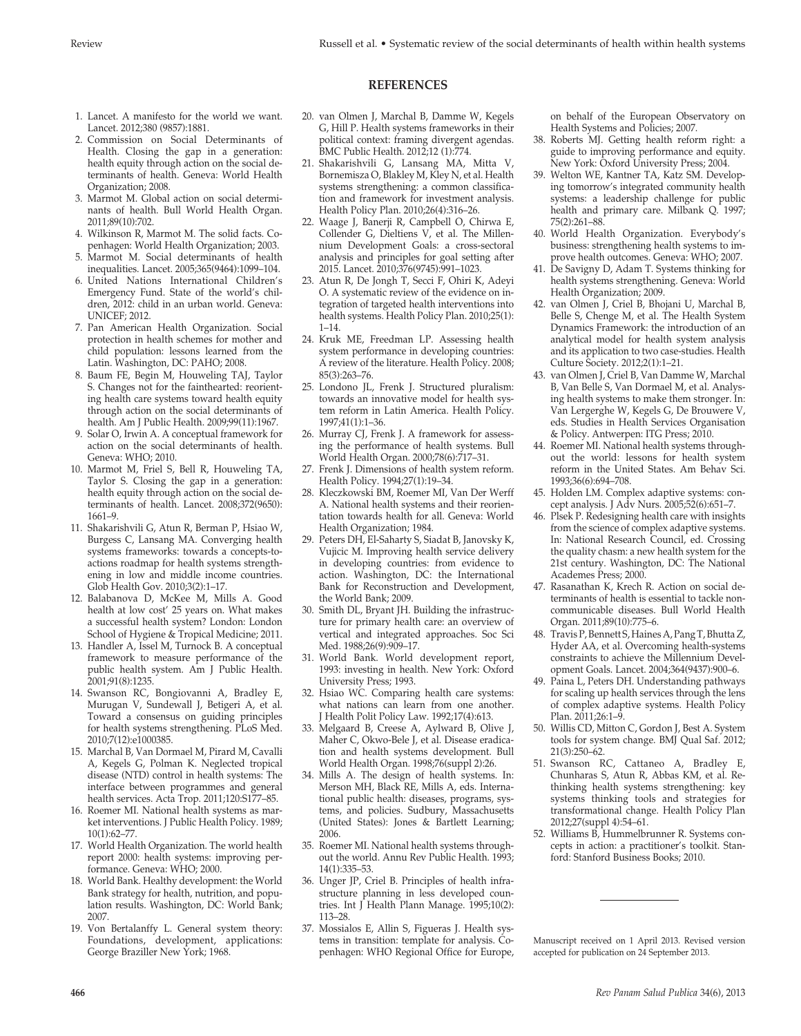## **REFERENCES**

- 1. Lancet. A manifesto for the world we want. Lancet. 2012;380 (9857):1881.
- 2. Commission on Social Determinants of Health. Closing the gap in a generation: health equity through action on the social determinants of health. Geneva: World Health Organization; 2008.
- 3. Marmot M. Global action on social determinants of health. Bull World Health Organ. 2011;89(10):702.
- 4. Wilkinson R, Marmot M. The solid facts. Copenhagen: World Health Organization; 2003.
- 5. Marmot M. Social determinants of health inequalities. Lancet. 2005;365(9464):1099–104.
- 6. United Nations International Children's Emergency Fund. State of the world's children, 2012: child in an urban world. Geneva: UNICEF; 2012.
- 7. Pan American Health Organization. Social protection in health schemes for mother and child population: lessons learned from the Latin. Washington, DC: PAHO; 2008.
- 8. Baum FE, Begin M, Houweling TAJ, Taylor S. Changes not for the fainthearted: reorienting health care systems toward health equity through action on the social determinants of health. Am J Public Health. 2009;99(11):1967.
- 9. Solar O, Irwin A. A conceptual framework for action on the social determinants of health. Geneva: WHO; 2010.
- 10. Marmot M, Friel S, Bell R, Houweling TA, Taylor S. Closing the gap in a generation: health equity through action on the social determinants of health. Lancet. 2008;372(9650): 1661–9.
- 11. Shakarishvili G, Atun R, Berman P, Hsiao W, Burgess C, Lansang MA. Converging health systems frameworks: towards a concepts-toactions roadmap for health systems strengthening in low and middle income countries. Glob Health Gov. 2010;3(2):1–17.
- 12. Balabanova D, McKee M, Mills A. Good health at low cost' 25 years on. What makes a successful health system? London: London School of Hygiene & Tropical Medicine; 2011.
- 13. Handler A, Issel M, Turnock B. A conceptual framework to measure performance of the public health system. Am J Public Health. 2001;91(8):1235.
- 14. Swanson RC, Bongiovanni A, Bradley E, Murugan V, Sundewall J, Betigeri A, et al. Toward a consensus on guiding principles for health systems strengthening. PLoS Med. 2010;7(12):e1000385.
- 15. Marchal B, Van Dormael M, Pirard M, Cavalli A, Kegels G, Polman K. Neglected tropical disease (NTD) control in health systems: The interface between programmes and general health services. Acta Trop. 2011;120:S177–85.
- 16. Roemer MI. National health systems as market interventions. J Public Health Policy. 1989; 10(1):62–77.
- 17. World Health Organization. The world health report 2000: health systems: improving performance. Geneva: WHO; 2000.
- 18. World Bank. Healthy development: the World Bank strategy for health, nutrition, and population results. Washington, DC: World Bank; 2007.
- 19. Von Bertalanffy L. General system theory: Foundations, development, applications: George Braziller New York; 1968.
- 20. van Olmen J, Marchal B, Damme W, Kegels G, Hill P. Health systems frameworks in their political context: framing divergent agendas. BMC Public Health. 2012;12 (1):774.
- 21. Shakarishvili G, Lansang MA, Mitta V, Bornemisza O, Blakley M, Kley N, et al. Health systems strengthening: a common classification and framework for investment analysis. Health Policy Plan. 2010;26(4):316–26.
- 22. Waage J, Banerji R, Campbell O, Chirwa E, Collender G, Dieltiens V, et al. The Millennium Development Goals: a cross-sectoral analysis and principles for goal setting after 2015. Lancet. 2010;376(9745):991–1023.
- 23. Atun R, De Jongh T, Secci F, Ohiri K, Adeyi O. A systematic review of the evidence on integration of targeted health interventions into health systems. Health Policy Plan. 2010;25(1):  $1 - 14$ .
- 24. Kruk ME, Freedman LP. Assessing health system performance in developing countries: A review of the literature. Health Policy. 2008; 85(3):263–76.
- 25. Londono JL, Frenk J. Structured pluralism: towards an innovative model for health system reform in Latin America. Health Policy. 1997;41(1):1–36.
- 26. Murray CJ, Frenk J. A framework for assessing the performance of health systems. Bull World Health Organ. 2000;78(6):717–31.
- 27. Frenk J. Dimensions of health system reform. Health Policy. 1994;27(1):19–34.
- 28. Kleczkowski BM, Roemer MI, Van Der Werff A. National health systems and their reorientation towards health for all. Geneva: World Health Organization; 1984.
- 29. Peters DH, El-Saharty S, Siadat B, Janovsky K, Vujicic M. Improving health service delivery in developing countries: from evidence to action. Washington, DC: the International Bank for Reconstruction and Development, the World Bank; 2009.
- 30. Smith DL, Bryant JH. Building the infrastructure for primary health care: an overview of vertical and integrated approaches. Soc Sci Med. 1988;26(9):909-17.
- 31. World Bank. World development report, 1993: investing in health. New York: Oxford University Press; 1993.
- 32. Hsiao WC. Comparing health care systems: what nations can learn from one another. J Health Polit Policy Law. 1992;17(4):613.
- 33. Melgaard B, Creese A, Aylward B, Olive J, Maher C, Okwo-Bele J, et al. Disease eradication and health systems development. Bull World Health Organ. 1998;76(suppl 2):26.
- 34. Mills A. The design of health systems. In: Merson MH, Black RE, Mills A, eds. International public health: diseases, programs, systems, and policies. Sudbury, Massachusetts (United States): Jones & Bartlett Learning; 2006.
- 35. Roemer MI. National health systems throughout the world. Annu Rev Public Health. 1993; 14(1):335–53.
- 36. Unger JP, Criel B. Principles of health infrastructure planning in less developed countries. Int J Health Plann Manage. 1995;10(2): 113–28.
- 37. Mossialos E, Allin S, Figueras J. Health systems in transition: template for analysis. Copenhagen: WHO Regional Office for Europe,

on behalf of the European Observatory on Health Systems and Policies; 2007.

- 38. Roberts MJ. Getting health reform right: a guide to improving performance and equity. New York: Oxford University Press; 2004.
- 39. Welton WE, Kantner TA, Katz SM. Developing tomorrow's integrated community health systems: a leadership challenge for public health and primary care. Milbank Q. 1997; 75(2):261–88.
- 40. World Health Organization. Everybody's business: strengthening health systems to improve health outcomes. Geneva: WHO; 2007.
- 41. De Savigny D, Adam T. Systems thinking for health systems strengthening. Geneva: World Health Organization; 2009.
- 42. van Olmen J, Criel B, Bhojani U, Marchal B, Belle S, Chenge M, et al. The Health System Dynamics Framework: the introduction of an analytical model for health system analysis and its application to two case-studies. Health Culture Society. 2012;2(1):1–21.
- 43. van Olmen J, Criel B, Van Damme W, Marchal B, Van Belle S, Van Dormael M, et al. Analysing health systems to make them stronger. In: Van Lergerghe W, Kegels G, De Brouwere V, eds. Studies in Health Services Organisation & Policy. Antwerpen: ITG Press; 2010.
- 44. Roemer MI. National health systems throughout the world: lessons for health system reform in the United States. Am Behav Sci. 1993;36(6):694–708.
- 45. Holden LM. Complex adaptive systems: concept analysis. J Adv Nurs. 2005;52(6):651–7.
- 46. Plsek P. Redesigning health care with insights from the science of complex adaptive systems. In: National Research Council, ed. Crossing the quality chasm: a new health system for the 21st century. Washington, DC: The National Academes Press; 2000.
- 47. Rasanathan K, Krech R. Action on social determinants of health is essential to tackle noncommunicable diseases. Bull World Health Organ. 2011;89(10):775–6.
- 48. Travis P, Bennett S, Haines A, Pang T, Bhutta Z, Hyder AA, et al. Overcoming health-systems constraints to achieve the Millennium Development Goals. Lancet. 2004;364(9437):900–6.
- 49. Paina L, Peters DH. Understanding pathways for scaling up health services through the lens of complex adaptive systems. Health Policy Plan. 2011;26:1–9.
- 50. Willis CD, Mitton C, Gordon J, Best A. System tools for system change. BMJ Qual Saf. 2012; 21(3):250–62.
- 51. Swanson RC, Cattaneo A, Bradley E, Chunharas S, Atun R, Abbas KM, et al. Rethinking health systems strengthening: key systems thinking tools and strategies for transformational change. Health Policy Plan 2012;27(suppl 4):54–61.
- 52. Williams B, Hummelbrunner R. Systems concepts in action: a practitioner's toolkit. Stanford: Stanford Business Books; 2010.

Manuscript received on 1 April 2013. Revised version accepted for publication on 24 September 2013.